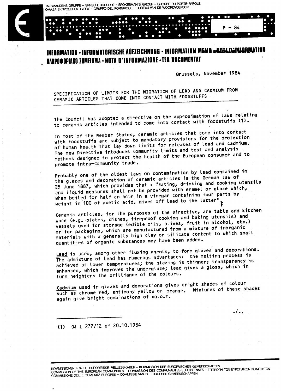TALSMANDENS GRUPPE - SPRECHERGRUPPE - SPOKESMAN'S GROUP - GROUPE DU PORTE-PAROLE OMAAA EKTIPOZOTOY TYTIOY - GRUPPO DEL PORTAVOCE - BUREAU VAN DE WOORDVOERDER

## INFORMATION - INFORMATORISCHE AUFZEICHNUNG - INFORMATION MEMA «KAJE DAINEARMA *<u> RAHPO@OPIAKO ∑HMEIOMA • NOTA D'INFORMAZIONE • TER DOCUMENTAT*</u>

Brussels, November 1984

. / . .

SPECIFICATION OF LIMITS FOR THE MIGRATION OF LEAD AND CADMIUM FROM CERAMIC ARTICLES THAT COME INTO CONTACT WITH FOODSTUFFS

The Council has adopted a directive on the approximation of laws relating to ceramic articles intended to come into contact with foodstuffs (1).

In most of the Member States, ceramic articles that come into contact with foodstuffs are subject to mandatory provisions for the protection of human health that lay down limits for releases of lead and cadmium. The new Directive intoduces Community limits and test and analysis methods designed to protect the health of the European consumer and to promote intra-Community trade.

Probably one of the oldest laws on contamination by lead contained in the glazes and decoration of ceramic articles is the German law of 25 June 1887, which provides that: "Eating, drinking and cooking utensils and liquid measures shall not be provided with enamel or glaze which, when boiled for half an hour in a vinegar containing four parts by weight in 100 of acetic acid, gives off lead to the latter"

Ceramic articles, for the purposes of the Directive, are table and kitchen ware (e.g. plates, dishes, fireproof cooking and baking utensils) and vessels used for storage (edible oils, olives, fruit in alcohol, etc.) or for packaging, which are manufactured from a mixture of inorganic materials with a generally high clay or silicate content to which small quantities of organic substances may have been added.

Lead is used, among other fluxing agents, to form glazes and decorations. The admixture of lead has numerous advantages: the melting process is achieved at lower temperatures; the glazing is thinner; transparency is enhanced, which improves the underglaze; lead gives a gloss, which in turn heightens the brilliance of the colours.

Cadmium used in glazes and decorations gives bright shades of colour such as chrome red, antimony yellow or orange. Mixtures of these shades again give bright combinations of colour.

(1) OJ L 277/12 of 20.10.1984

KOMMISSIONEN FOR DE EUROPÆISKE FÆLLESSKABER – KOMMISSION DER EUROPÄISCHEN GEMEINSCHAFTEN<br>COMMISSION OF THE EUROPEAN COMMUNITIES – COMMISSION DES COMMUNAUTES EUROPEENNES – EΠITPOTIH TΩN EYPΩTAÏKΩN KOINOTHTΩN<br>COMMISSIONE DEL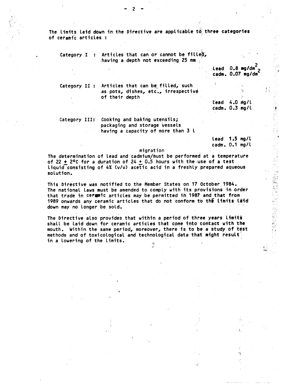The limits laid down in the Directive are applicable to three categories of ceramic articles:

Category I : Articles that can or cannot be filled, having a depth not exceeding 25 mm

Lead 0.8 mg/dm<sup>2</sup>  $\overline{c}$ cadm. 0.07 mg/dm

Ħ

Category II : Articles that can be filled, such as pots, dishes, etc., irrespective of their depth

Lead 4.0 mg/l cadm. 0.3 mg/l

Cooking and baking utensils; Category III: packaging and storage vessels having a capacity of more than 3 l

> lead 1.5 mg/l cadm. 0.1 mg/l

> > ١,

 $\{ \}$ 

## migration

The determination of lead and cadmium/must be performed at a temperature of 22  $\div$  2°C for a duration of 24 + 0.5 hours with the use of a test liquid consisting of 4% (v/v) acetic acid in a freshly prepared aqueous solution.

This Directive was notified to the Member States on 17 October 1984. The national laws must be amended to comply with its provisions in order that trade in ceremic articles may be permitted in 1987 and that from 1989 onwards any ceramic articles that do not conform to the limits laid down may no longer be sold.

The Directive also provides that within a period of three years limits shall be laid down for ceramic articles that come into contact with the mouth. Within the same period, moreover, there is to be a study of test methods and of toxicological and technological data that might result in a lowering of the limits.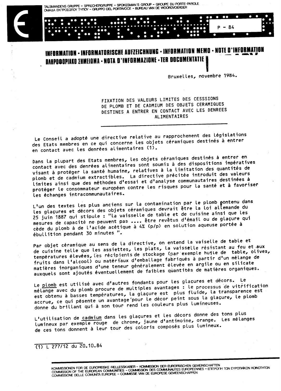TALSMANDENS GRUPPE - SPRECHERGRUPPE - SPOKESMAN'S GROUP - GROUPE DU PORTE-PAROLE OMAAA EKITPOZOTOY TYTIOY - GRUPPO DEL PORTAVOCE - BUREAU VAN DE WOORDVOERDER

## INFORMATION - INFORMATORISCHE AUFZEICHNUNG - INFORMATION MEMO - NOTE D'INFORMATION *DAHPO@OPIAKO ∑HMEIOMA • NOTA D'INFORMAZIONE • TER DOCUMENTATIE*

Bruxelles, novembre 1984.

-84

FIXATION DES VALEURS LIMITES DES CESSSIONS DE PLOMB ET DE CADMIUM DES OBJETS CERAMIQUES DESTINES A ENTRER EN CONTACT AVEC LES DENREES ALIMENTAIRES

Le Conseil a adopté une directive relative au rapprochement des législations des Etats membres en ce qui concerne les objets céramiques destinés à entrer en contact avec les denrées alimentaires (1).

Dans la plupart des Etats membres, les objets céramiques destinés à entrer en contact avec des denrées alimentaires sont soumis à des dispositions impératives visant à protéger la santé humaine, relatives à la limitation des quantités de plomb et de cadmium extractibles. La directive précitée introduit des valeurs limites ainsi que des méthodes d'essai et d'analyse communautaires destinées à protéger le consommateur européen contre les risques pour la santé et à favoriser Les échanges intracommunautaires.

L'un des textes les plus anciens sur la contamination par le plomb pontenu dans les glaçures et décors des objets céramiques devrait être la loi allemande du 25 juin 1887 qui stipule : "La vaisselle de table et de cuisine ainsi que les mesures de capacité ne peuvent pas .... être revêtus d'émail ou de glaçure qui cède du plomb à de l'acide acétique à 4% (p/p) en solution aqueuse portée à ébullition pendant 30 minutes ".

Par objet céramique au sens de la directive, on entend la vaiselle de table et de cuisine telle que les assiettes, les plats, la vaisselle résistant au feu et aux températures élevées, les récipients de stockage (par exemple hujle de table, olives, fruits dans l'alcool) ou matériaux d'emballage fabriqués à partir d'un mélange de matières inorganiques d'une teneur généralement élevée en argile ou en silicate auxquels sont ajoutés éventuellement de faibles quantités de matières organiques.

Le plomb est utilisé avec d'autres fondants pour les glacures et décors. Le mélange avec du plomb procure de multiples avantages : le processus de vitrification est obtenu à basses températures, la glaçure est plus fluide, la transparence est accrue, ce qui pésente un avantage pour le décor peint sous la glaçure, le plomb donne du brillant qui à son tour rend les couleurs plus lumineuses.

L'utilisation de cadmium dans les glaçures et les décors donne des tons plus lumineux par exemple rouge de chrome, jaune d'antimoine, orange. Les mélanges de ces tons donnent à leur tour des coloris composés plus lumineux.

(1) L 277/12 du 20.10.84